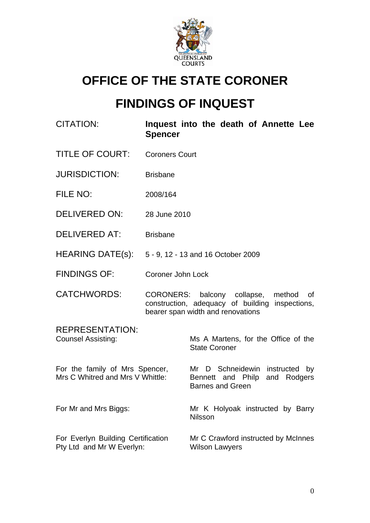

# **OFFICE OF THE STATE CORONER**

# **FINDINGS OF INQUEST**

| <b>CITATION:</b>                                                   | <b>Spencer</b>           | Inquest into the death of Annette Lee                                                                                            |
|--------------------------------------------------------------------|--------------------------|----------------------------------------------------------------------------------------------------------------------------------|
| <b>TITLE OF COURT:</b>                                             | <b>Coroners Court</b>    |                                                                                                                                  |
| <b>JURISDICTION:</b>                                               | <b>Brisbane</b>          |                                                                                                                                  |
| FILE NO:                                                           | 2008/164                 |                                                                                                                                  |
| <b>DELIVERED ON:</b>                                               | 28 June 2010             |                                                                                                                                  |
| <b>DELIVERED AT:</b>                                               | <b>Brisbane</b>          |                                                                                                                                  |
| HEARING DATE(s): 5 - 9, 12 - 13 and 16 October 2009                |                          |                                                                                                                                  |
| <b>FINDINGS OF:</b>                                                | <b>Coroner John Lock</b> |                                                                                                                                  |
| <b>CATCHWORDS:</b>                                                 |                          | CORONERS: balcony collapse, method<br>οf<br>construction, adequacy of building inspections,<br>bearer span width and renovations |
| <b>REPRESENTATION:</b><br><b>Counsel Assisting:</b>                |                          | Ms A Martens, for the Office of the<br><b>State Coroner</b>                                                                      |
| For the family of Mrs Spencer,<br>Mrs C Whitred and Mrs V Whittle: |                          | Mr D Schneidewin instructed<br>by<br>Bennett and Philp and Rodgers<br><b>Barnes and Green</b>                                    |
| For Mr and Mrs Biggs:                                              |                          | Mr K Holyoak instructed by Barry<br><b>Nilsson</b>                                                                               |
| For Everlyn Building Certification<br>Pty Ltd and Mr W Everlyn:    |                          | Mr C Crawford instructed by McInnes<br><b>Wilson Lawyers</b>                                                                     |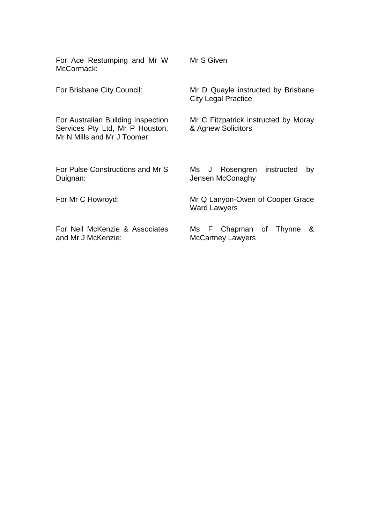| For Ace Restumping and Mr W<br>McCormack:                                                            | Mr S Given                                                       |
|------------------------------------------------------------------------------------------------------|------------------------------------------------------------------|
| For Brisbane City Council:                                                                           | Mr D Quayle instructed by Brisbane<br><b>City Legal Practice</b> |
| For Australian Building Inspection<br>Services Pty Ltd, Mr P Houston,<br>Mr N Mills and Mr J Toomer: | Mr C Fitzpatrick instructed by Moray<br>& Agnew Solicitors       |
| For Pulse Constructions and Mr S<br>Duignan:                                                         | Rosengren<br>Ms J<br>instructed<br>by<br>Jensen McConaghy        |
| For Mr C Howroyd:                                                                                    | Mr Q Lanyon-Owen of Cooper Grace<br><b>Ward Lawyers</b>          |
| For Neil McKenzie & Associates<br>and Mr J McKenzie:                                                 | F Chapman of<br>Thynne<br>&<br>Ms<br><b>McCartney Lawyers</b>    |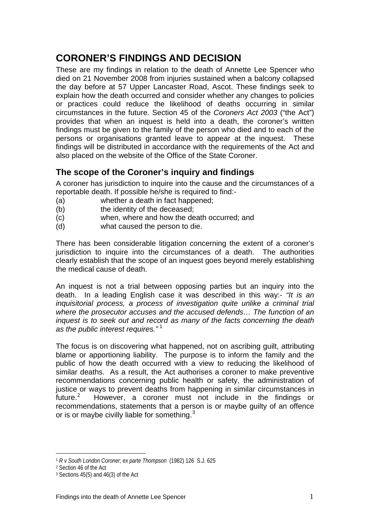# **CORONER'S FINDINGS AND DECISION**

These are my findings in relation to the death of Annette Lee Spencer who died on 21 November 2008 from injuries sustained when a balcony collapsed the day before at 57 Upper Lancaster Road, Ascot. These findings seek to explain how the death occurred and consider whether any changes to policies or practices could reduce the likelihood of deaths occurring in similar circumstances in the future. Section 45 of the *Coroners Act 2003* ("the Act") provides that when an inquest is held into a death, the coroner's written findings must be given to the family of the person who died and to each of the persons or organisations granted leave to appear at the inquest. These findings will be distributed in accordance with the requirements of the Act and also placed on the website of the Office of the State Coroner.

## **The scope of the Coroner's inquiry and findings**

A coroner has jurisdiction to inquire into the cause and the circumstances of a reportable death. If possible he/she is required to find:-

- (a) whether a death in fact happened;
- (b) the identity of the deceased;
- (c) when, where and how the death occurred; and
- (d) what caused the person to die.

There has been considerable litigation concerning the extent of a coroner's jurisdiction to inquire into the circumstances of a death. The authorities clearly establish that the scope of an inquest goes beyond merely establishing the medical cause of death.

An inquest is not a trial between opposing parties but an inquiry into the death. In a leading English case it was described in this way:- *"It is an inquisitorial process, a process of investigation quite unlike a criminal trial where the prosecutor accuses and the accused defends… The function of an inquest is to seek out and record as many of the facts concerning the death as the public interest requires."* [1](#page-2-0)

The focus is on discovering what happened, not on ascribing guilt, attributing blame or apportioning liability. The purpose is to inform the family and the public of how the death occurred with a view to reducing the likelihood of similar deaths. As a result, the Act authorises a coroner to make preventive recommendations concerning public health or safety, the administration of justice or ways to prevent deaths from happening in similar circumstances in  $f$ uture. $^2$  $^2$  However, a coroner must not include in the findings or recommendations, statements that a person is or maybe guilty of an offence or is or maybe civilly liable for something.<sup>[3](#page-2-2)</sup>

 $\overline{a}$ 

<span id="page-2-0"></span><sup>1</sup> *R v South London Coroner; ex parte Thompson* (1982) 126 S.J. 625

<span id="page-2-1"></span><sup>2</sup> Section 46 of the Act

<span id="page-2-2"></span><sup>3</sup> Sections 45(5) and 46(3) of the Act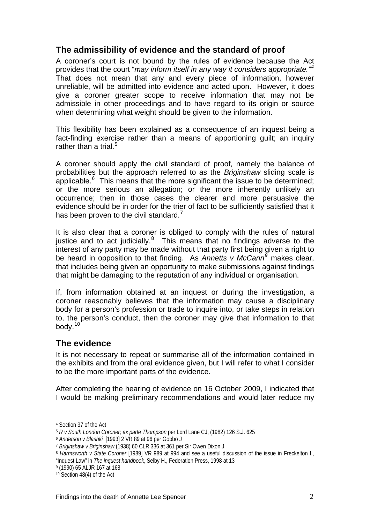## **The admissibility of evidence and the standard of proof**

A coroner's court is not bound by the rules of evidence because the Act provides that the court "*may inform itself in any way it considers appropriate."[4](#page-3-0)*  That does not mean that any and every piece of information, however unreliable, will be admitted into evidence and acted upon. However, it does give a coroner greater scope to receive information that may not be admissible in other proceedings and to have regard to its origin or source when determining what weight should be given to the information.

This flexibility has been explained as a consequence of an inquest being a fact-finding exercise rather than a means of apportioning guilt; an inquiry rather than a trial. $5$ 

A coroner should apply the civil standard of proof, namely the balance of probabilities but the approach referred to as the *Briginshaw* sliding scale is applicable. $6$  This means that the more significant the issue to be determined; or the more serious an allegation; or the more inherently unlikely an occurrence; then in those cases the clearer and more persuasive the evidence should be in order for the trier of fact to be sufficiently satisfied that it has been proven to the civil standard.<sup>[7](#page-3-3)</sup>

It is also clear that a coroner is obliged to comply with the rules of natural justice and to act judicially. $8$  This means that no findings adverse to the interest of any party may be made without that party first being given a right to be heard in opposition to that finding. As *Annetts v McCann[9](#page-3-5)* makes clear, that includes being given an opportunity to make submissions against findings that might be damaging to the reputation of any individual or organisation.

If, from information obtained at an inquest or during the investigation, a coroner reasonably believes that the information may cause a disciplinary body for a person's profession or trade to inquire into, or take steps in relation to, the person's conduct, then the coroner may give that information to that body.[10](#page-3-6)

## **The evidence**

It is not necessary to repeat or summarise all of the information contained in the exhibits and from the oral evidence given, but I will refer to what I consider to be the more important parts of the evidence.

After completing the hearing of evidence on 16 October 2009, I indicated that I would be making preliminary recommendations and would later reduce my

 $\overline{a}$ 

"Inquest Law" in *The inquest handbook*, Selby H., Federation Press, 1998 at 13

<span id="page-3-0"></span><sup>4</sup> Section 37 of the Act

<span id="page-3-1"></span><sup>5</sup> *R v South London Coroner; ex parte Thompson* per Lord Lane CJ, (1982) 126 S.J. 625

<span id="page-3-2"></span><sup>6</sup> *Anderson v Blashki* [1993] 2 VR 89 at 96 per Gobbo J

<span id="page-3-3"></span><sup>7</sup> *Briginshaw v Briginshaw* (1938) 60 CLR 336 at 361 per Sir Owen Dixon J

<span id="page-3-4"></span><sup>8</sup> *Harmsworth v State Coroner* [1989] VR 989 at 994 and see a useful discussion of the issue in Freckelton I.,

<span id="page-3-5"></span><sup>9 (1990) 65</sup> ALJR 167 at 168

<span id="page-3-6"></span><sup>10</sup> Section 48(4) of the Act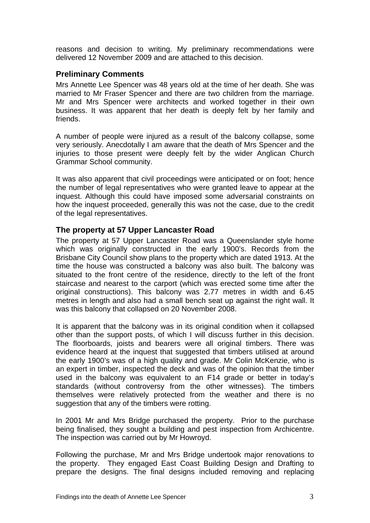reasons and decision to writing. My preliminary recommendations were delivered 12 November 2009 and are attached to this decision.

#### **Preliminary Comments**

Mrs Annette Lee Spencer was 48 years old at the time of her death. She was married to Mr Fraser Spencer and there are two children from the marriage. Mr and Mrs Spencer were architects and worked together in their own business. It was apparent that her death is deeply felt by her family and friends.

A number of people were injured as a result of the balcony collapse, some very seriously. Anecdotally I am aware that the death of Mrs Spencer and the injuries to those present were deeply felt by the wider Anglican Church Grammar School community.

It was also apparent that civil proceedings were anticipated or on foot; hence the number of legal representatives who were granted leave to appear at the inquest. Although this could have imposed some adversarial constraints on how the inquest proceeded, generally this was not the case, due to the credit of the legal representatives.

#### **The property at 57 Upper Lancaster Road**

The property at 57 Upper Lancaster Road was a Queenslander style home which was originally constructed in the early 1900's. Records from the Brisbane City Council show plans to the property which are dated 1913. At the time the house was constructed a balcony was also built. The balcony was situated to the front centre of the residence, directly to the left of the front staircase and nearest to the carport (which was erected some time after the original constructions). This balcony was 2.77 metres in width and 6.45 metres in length and also had a small bench seat up against the right wall. It was this balcony that collapsed on 20 November 2008.

It is apparent that the balcony was in its original condition when it collapsed other than the support posts, of which I will discuss further in this decision. The floorboards, joists and bearers were all original timbers. There was evidence heard at the inquest that suggested that timbers utilised at around the early 1900's was of a high quality and grade. Mr Colin McKenzie, who is an expert in timber, inspected the deck and was of the opinion that the timber used in the balcony was equivalent to an F14 grade or better in today's standards (without controversy from the other witnesses). The timbers themselves were relatively protected from the weather and there is no suggestion that any of the timbers were rotting.

In 2001 Mr and Mrs Bridge purchased the property. Prior to the purchase being finalised, they sought a building and pest inspection from Archicentre. The inspection was carried out by Mr Howroyd.

Following the purchase, Mr and Mrs Bridge undertook major renovations to the property. They engaged East Coast Building Design and Drafting to prepare the designs. The final designs included removing and replacing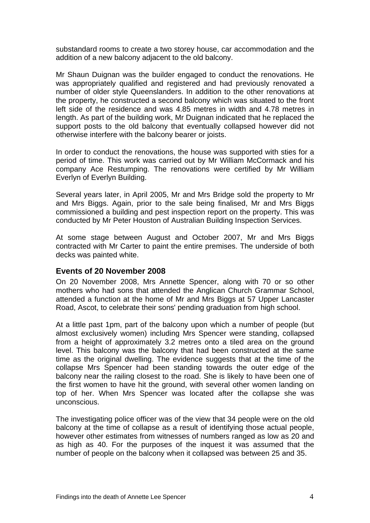substandard rooms to create a two storey house, car accommodation and the addition of a new balcony adjacent to the old balcony.

Mr Shaun Duignan was the builder engaged to conduct the renovations. He was appropriately qualified and registered and had previously renovated a number of older style Queenslanders. In addition to the other renovations at the property, he constructed a second balcony which was situated to the front left side of the residence and was 4.85 metres in width and 4.78 metres in length. As part of the building work, Mr Duignan indicated that he replaced the support posts to the old balcony that eventually collapsed however did not otherwise interfere with the balcony bearer or joists.

In order to conduct the renovations, the house was supported with sties for a period of time. This work was carried out by Mr William McCormack and his company Ace Restumping. The renovations were certified by Mr William Everlyn of Everlyn Building.

Several years later, in April 2005, Mr and Mrs Bridge sold the property to Mr and Mrs Biggs. Again, prior to the sale being finalised, Mr and Mrs Biggs commissioned a building and pest inspection report on the property. This was conducted by Mr Peter Houston of Australian Building Inspection Services.

At some stage between August and October 2007, Mr and Mrs Biggs contracted with Mr Carter to paint the entire premises. The underside of both decks was painted white.

#### **Events of 20 November 2008**

On 20 November 2008, Mrs Annette Spencer, along with 70 or so other mothers who had sons that attended the Anglican Church Grammar School, attended a function at the home of Mr and Mrs Biggs at 57 Upper Lancaster Road, Ascot, to celebrate their sons' pending graduation from high school.

At a little past 1pm, part of the balcony upon which a number of people (but almost exclusively women) including Mrs Spencer were standing, collapsed from a height of approximately 3.2 metres onto a tiled area on the ground level. This balcony was the balcony that had been constructed at the same time as the original dwelling. The evidence suggests that at the time of the collapse Mrs Spencer had been standing towards the outer edge of the balcony near the railing closest to the road. She is likely to have been one of the first women to have hit the ground, with several other women landing on top of her. When Mrs Spencer was located after the collapse she was unconscious.

The investigating police officer was of the view that 34 people were on the old balcony at the time of collapse as a result of identifying those actual people, however other estimates from witnesses of numbers ranged as low as 20 and as high as 40. For the purposes of the inquest it was assumed that the number of people on the balcony when it collapsed was between 25 and 35.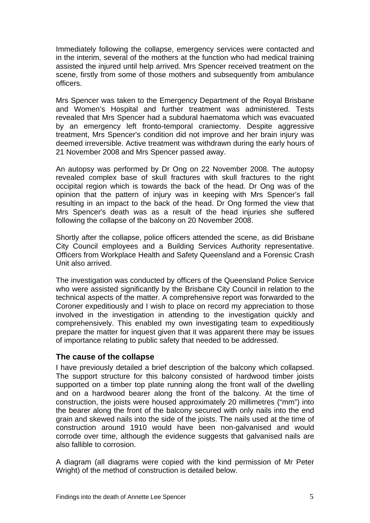Immediately following the collapse, emergency services were contacted and in the interim, several of the mothers at the function who had medical training assisted the injured until help arrived. Mrs Spencer received treatment on the scene, firstly from some of those mothers and subsequently from ambulance officers.

Mrs Spencer was taken to the Emergency Department of the Royal Brisbane and Women's Hospital and further treatment was administered. Tests revealed that Mrs Spencer had a subdural haematoma which was evacuated by an emergency left fronto-temporal craniectomy. Despite aggressive treatment, Mrs Spencer's condition did not improve and her brain injury was deemed irreversible. Active treatment was withdrawn during the early hours of 21 November 2008 and Mrs Spencer passed away.

An autopsy was performed by Dr Ong on 22 November 2008. The autopsy revealed complex base of skull fractures with skull fractures to the right occipital region which is towards the back of the head. Dr Ong was of the opinion that the pattern of injury was in keeping with Mrs Spencer's fall resulting in an impact to the back of the head. Dr Ong formed the view that Mrs Spencer's death was as a result of the head injuries she suffered following the collapse of the balcony on 20 November 2008.

Shortly after the collapse, police officers attended the scene, as did Brisbane City Council employees and a Building Services Authority representative. Officers from Workplace Health and Safety Queensland and a Forensic Crash Unit also arrived.

The investigation was conducted by officers of the Queensland Police Service who were assisted significantly by the Brisbane City Council in relation to the technical aspects of the matter. A comprehensive report was forwarded to the Coroner expeditiously and I wish to place on record my appreciation to those involved in the investigation in attending to the investigation quickly and comprehensively. This enabled my own investigating team to expeditiously prepare the matter for inquest given that it was apparent there may be issues of importance relating to public safety that needed to be addressed.

#### **The cause of the collapse**

I have previously detailed a brief description of the balcony which collapsed. The support structure for this balcony consisted of hardwood timber joists supported on a timber top plate running along the front wall of the dwelling and on a hardwood bearer along the front of the balcony. At the time of construction, the joists were housed approximately 20 millimetres ("mm") into the bearer along the front of the balcony secured with only nails into the end grain and skewed nails into the side of the joists. The nails used at the time of construction around 1910 would have been non-galvanised and would corrode over time, although the evidence suggests that galvanised nails are also fallible to corrosion.

A diagram (all diagrams were copied with the kind permission of Mr Peter Wright) of the method of construction is detailed below.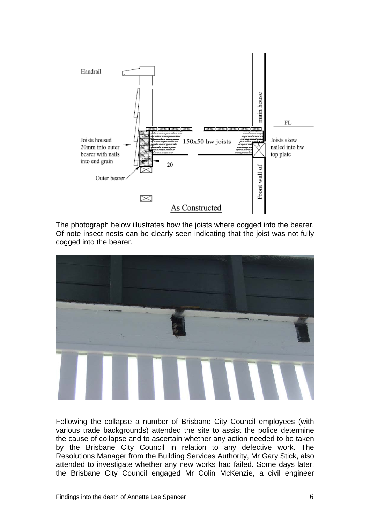

 The photograph below illustrates how the joists where cogged into the bearer. Of note insect nests can be clearly seen indicating that the joist was not fully cogged into the bearer.



Following the collapse a number of Brisbane City Council employees (with various trade backgrounds) attended the site to assist the police determine the cause of collapse and to ascertain whether any action needed to be taken by the Brisbane City Council in relation to any defective work. The Resolutions Manager from the Building Services Authority, Mr Gary Stick, also attended to investigate whether any new works had failed. Some days later, the Brisbane City Council engaged Mr Colin McKenzie, a civil engineer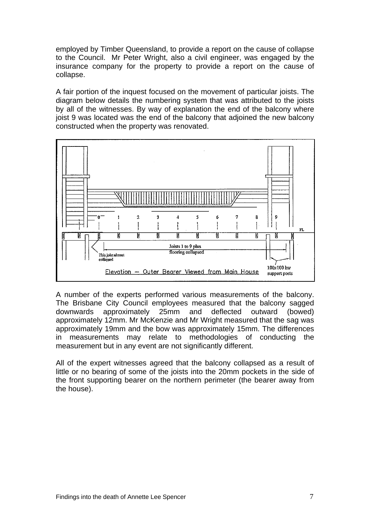employed by Timber Queensland, to provide a report on the cause of collapse to the Council. Mr Peter Wright, also a civil engineer, was engaged by the insurance company for the property to provide a report on the cause of collapse.

A fair portion of the inquest focused on the movement of particular joists. The diagram below details the numbering system that was attributed to the joists by all of the witnesses. By way of explanation the end of the balcony where joist 9 was located was the end of the balcony that adjoined the new balcony constructed when the property was renovated.



A number of the experts performed various measurements of the balcony. The Brisbane City Council employees measured that the balcony sagged downwards approximately 25mm and deflected outward (bowed) approximately 12mm. Mr McKenzie and Mr Wright measured that the sag was approximately 19mm and the bow was approximately 15mm. The differences in measurements may relate to methodologies of conducting the measurement but in any event are not significantly different.

All of the expert witnesses agreed that the balcony collapsed as a result of little or no bearing of some of the joists into the 20mm pockets in the side of the front supporting bearer on the northern perimeter (the bearer away from the house).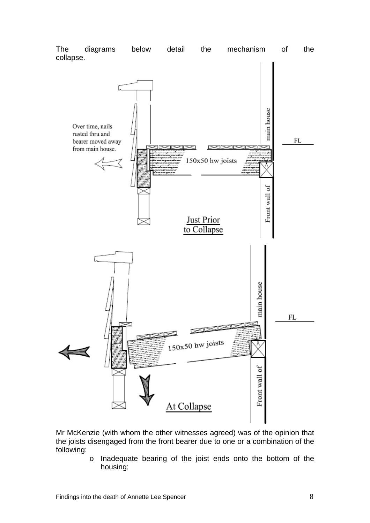

Mr McKenzie (with whom the other witnesses agreed) was of the opinion that the joists disengaged from the front bearer due to one or a combination of the following:

> o Inadequate bearing of the joist ends onto the bottom of the housing;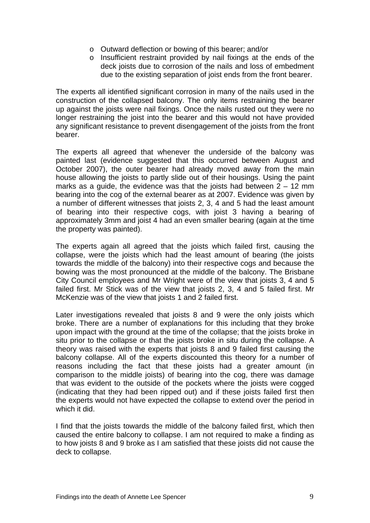- o Outward deflection or bowing of this bearer; and/or
- o Insufficient restraint provided by nail fixings at the ends of the deck joists due to corrosion of the nails and loss of embedment due to the existing separation of joist ends from the front bearer.

The experts all identified significant corrosion in many of the nails used in the construction of the collapsed balcony. The only items restraining the bearer up against the joists were nail fixings. Once the nails rusted out they were no longer restraining the joist into the bearer and this would not have provided any significant resistance to prevent disengagement of the joists from the front bearer.

The experts all agreed that whenever the underside of the balcony was painted last (evidence suggested that this occurred between August and October 2007), the outer bearer had already moved away from the main house allowing the joists to partly slide out of their housings. Using the paint marks as a guide, the evidence was that the joists had between  $2 - 12$  mm bearing into the cog of the external bearer as at 2007. Evidence was given by a number of different witnesses that joists 2, 3, 4 and 5 had the least amount of bearing into their respective cogs, with joist 3 having a bearing of approximately 3mm and joist 4 had an even smaller bearing (again at the time the property was painted).

The experts again all agreed that the joists which failed first, causing the collapse, were the joists which had the least amount of bearing (the joists towards the middle of the balcony) into their respective cogs and because the bowing was the most pronounced at the middle of the balcony. The Brisbane City Council employees and Mr Wright were of the view that joists 3, 4 and 5 failed first. Mr Stick was of the view that joists 2, 3, 4 and 5 failed first. Mr McKenzie was of the view that joists 1 and 2 failed first.

Later investigations revealed that joists 8 and 9 were the only joists which broke. There are a number of explanations for this including that they broke upon impact with the ground at the time of the collapse; that the joists broke in situ prior to the collapse or that the joists broke in situ during the collapse. A theory was raised with the experts that joists 8 and 9 failed first causing the balcony collapse. All of the experts discounted this theory for a number of reasons including the fact that these joists had a greater amount (in comparison to the middle joists) of bearing into the cog, there was damage that was evident to the outside of the pockets where the joists were cogged (indicating that they had been ripped out) and if these joists failed first then the experts would not have expected the collapse to extend over the period in which it did.

I find that the joists towards the middle of the balcony failed first, which then caused the entire balcony to collapse. I am not required to make a finding as to how joists 8 and 9 broke as I am satisfied that these joists did not cause the deck to collapse.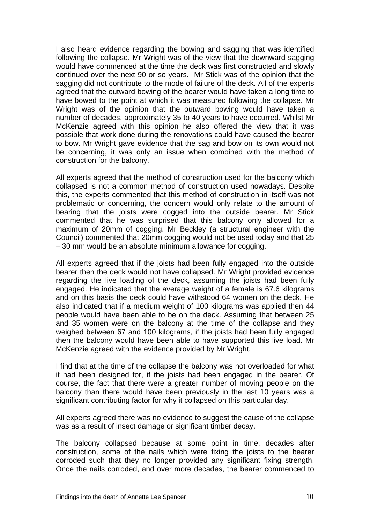I also heard evidence regarding the bowing and sagging that was identified following the collapse. Mr Wright was of the view that the downward sagging would have commenced at the time the deck was first constructed and slowly continued over the next 90 or so years. Mr Stick was of the opinion that the sagging did not contribute to the mode of failure of the deck. All of the experts agreed that the outward bowing of the bearer would have taken a long time to have bowed to the point at which it was measured following the collapse. Mr Wright was of the opinion that the outward bowing would have taken a number of decades, approximately 35 to 40 years to have occurred. Whilst Mr McKenzie agreed with this opinion he also offered the view that it was possible that work done during the renovations could have caused the bearer to bow. Mr Wright gave evidence that the sag and bow on its own would not be concerning, it was only an issue when combined with the method of construction for the balcony.

All experts agreed that the method of construction used for the balcony which collapsed is not a common method of construction used nowadays. Despite this, the experts commented that this method of construction in itself was not problematic or concerning, the concern would only relate to the amount of bearing that the joists were cogged into the outside bearer. Mr Stick commented that he was surprised that this balcony only allowed for a maximum of 20mm of cogging. Mr Beckley (a structural engineer with the Council) commented that 20mm cogging would not be used today and that 25 – 30 mm would be an absolute minimum allowance for cogging.

All experts agreed that if the joists had been fully engaged into the outside bearer then the deck would not have collapsed. Mr Wright provided evidence regarding the live loading of the deck, assuming the joists had been fully engaged. He indicated that the average weight of a female is 67.6 kilograms and on this basis the deck could have withstood 64 women on the deck. He also indicated that if a medium weight of 100 kilograms was applied then 44 people would have been able to be on the deck. Assuming that between 25 and 35 women were on the balcony at the time of the collapse and they weighed between 67 and 100 kilograms, if the joists had been fully engaged then the balcony would have been able to have supported this live load. Mr McKenzie agreed with the evidence provided by Mr Wright.

I find that at the time of the collapse the balcony was not overloaded for what it had been designed for, if the joists had been engaged in the bearer. Of course, the fact that there were a greater number of moving people on the balcony than there would have been previously in the last 10 years was a significant contributing factor for why it collapsed on this particular day.

All experts agreed there was no evidence to suggest the cause of the collapse was as a result of insect damage or significant timber decay.

The balcony collapsed because at some point in time, decades after construction, some of the nails which were fixing the joists to the bearer corroded such that they no longer provided any significant fixing strength. Once the nails corroded, and over more decades, the bearer commenced to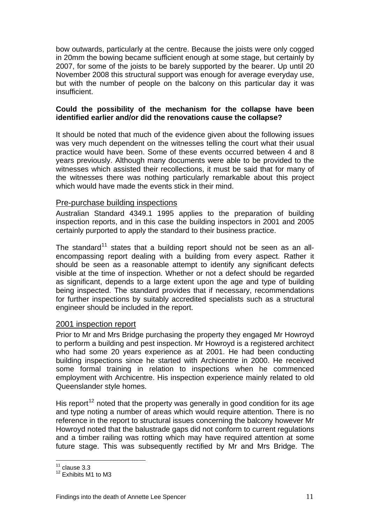bow outwards, particularly at the centre. Because the joists were only cogged in 20mm the bowing became sufficient enough at some stage, but certainly by 2007, for some of the joists to be barely supported by the bearer. Up until 20 November 2008 this structural support was enough for average everyday use, but with the number of people on the balcony on this particular day it was insufficient.

#### **Could the possibility of the mechanism for the collapse have been identified earlier and/or did the renovations cause the collapse?**

It should be noted that much of the evidence given about the following issues was very much dependent on the witnesses telling the court what their usual practice would have been. Some of these events occurred between 4 and 8 years previously. Although many documents were able to be provided to the witnesses which assisted their recollections, it must be said that for many of the witnesses there was nothing particularly remarkable about this project which would have made the events stick in their mind.

#### Pre-purchase building inspections

Australian Standard 4349.1 1995 applies to the preparation of building inspection reports, and in this case the building inspectors in 2001 and 2005 certainly purported to apply the standard to their business practice.

The standard<sup>[11](#page-12-0)</sup> states that a building report should not be seen as an allencompassing report dealing with a building from every aspect. Rather it should be seen as a reasonable attempt to identify any significant defects visible at the time of inspection. Whether or not a defect should be regarded as significant, depends to a large extent upon the age and type of building being inspected. The standard provides that if necessary, recommendations for further inspections by suitably accredited specialists such as a structural engineer should be included in the report.

#### 2001 inspection report

Prior to Mr and Mrs Bridge purchasing the property they engaged Mr Howroyd to perform a building and pest inspection. Mr Howroyd is a registered architect who had some 20 years experience as at 2001. He had been conducting building inspections since he started with Archicentre in 2000. He received some formal training in relation to inspections when he commenced employment with Archicentre. His inspection experience mainly related to old Queenslander style homes.

His report<sup>[12](#page-12-1)</sup> noted that the property was generally in good condition for its age and type noting a number of areas which would require attention. There is no reference in the report to structural issues concerning the balcony however Mr Howroyd noted that the balustrade gaps did not conform to current regulations and a timber railing was rotting which may have required attention at some future stage. This was subsequently rectified by Mr and Mrs Bridge. The

 $\overline{a}$  $11$  clause 3.3

<span id="page-12-1"></span><span id="page-12-0"></span><sup>&</sup>lt;sup>12</sup> Exhibits M1 to M3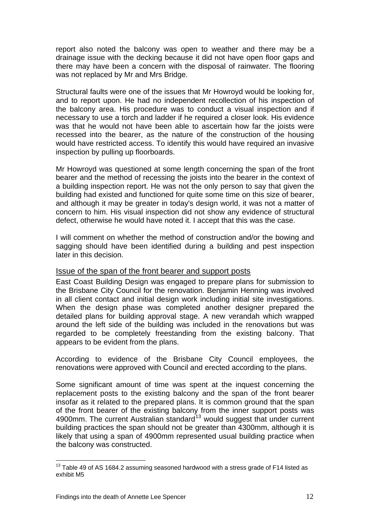report also noted the balcony was open to weather and there may be a drainage issue with the decking because it did not have open floor gaps and there may have been a concern with the disposal of rainwater. The flooring was not replaced by Mr and Mrs Bridge.

Structural faults were one of the issues that Mr Howroyd would be looking for, and to report upon. He had no independent recollection of his inspection of the balcony area. His procedure was to conduct a visual inspection and if necessary to use a torch and ladder if he required a closer look. His evidence was that he would not have been able to ascertain how far the joists were recessed into the bearer, as the nature of the construction of the housing would have restricted access. To identify this would have required an invasive inspection by pulling up floorboards.

Mr Howroyd was questioned at some length concerning the span of the front bearer and the method of recessing the joists into the bearer in the context of a building inspection report. He was not the only person to say that given the building had existed and functioned for quite some time on this size of bearer, and although it may be greater in today's design world, it was not a matter of concern to him. His visual inspection did not show any evidence of structural defect, otherwise he would have noted it. I accept that this was the case.

I will comment on whether the method of construction and/or the bowing and sagging should have been identified during a building and pest inspection later in this decision.

#### Issue of the span of the front bearer and support posts

East Coast Building Design was engaged to prepare plans for submission to the Brisbane City Council for the renovation. Benjamin Henning was involved in all client contact and initial design work including initial site investigations. When the design phase was completed another designer prepared the detailed plans for building approval stage. A new verandah which wrapped around the left side of the building was included in the renovations but was regarded to be completely freestanding from the existing balcony. That appears to be evident from the plans.

According to evidence of the Brisbane City Council employees, the renovations were approved with Council and erected according to the plans.

Some significant amount of time was spent at the inquest concerning the replacement posts to the existing balcony and the span of the front bearer insofar as it related to the prepared plans. It is common ground that the span of the front bearer of the existing balcony from the inner support posts was 4900mm. The current Australian standard<sup>[13](#page-13-0)</sup> would suggest that under current building practices the span should not be greater than 4300mm, although it is likely that using a span of 4900mm represented usual building practice when the balcony was constructed.

 $\overline{a}$ 

<span id="page-13-0"></span> $13$  Table 49 of AS 1684.2 assuming seasoned hardwood with a stress grade of F14 listed as exhibit M5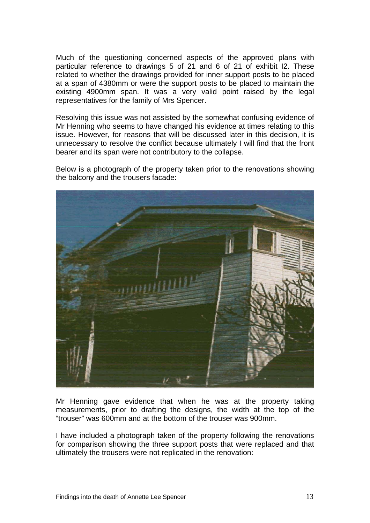Much of the questioning concerned aspects of the approved plans with particular reference to drawings 5 of 21 and 6 of 21 of exhibit I2. These related to whether the drawings provided for inner support posts to be placed at a span of 4380mm or were the support posts to be placed to maintain the existing 4900mm span. It was a very valid point raised by the legal representatives for the family of Mrs Spencer.

Resolving this issue was not assisted by the somewhat confusing evidence of Mr Henning who seems to have changed his evidence at times relating to this issue. However, for reasons that will be discussed later in this decision, it is unnecessary to resolve the conflict because ultimately I will find that the front bearer and its span were not contributory to the collapse.

Below is a photograph of the property taken prior to the renovations showing the balcony and the trousers facade:



Mr Henning gave evidence that when he was at the property taking measurements, prior to drafting the designs, the width at the top of the "trouser" was 600mm and at the bottom of the trouser was 900mm.

I have included a photograph taken of the property following the renovations for comparison showing the three support posts that were replaced and that ultimately the trousers were not replicated in the renovation: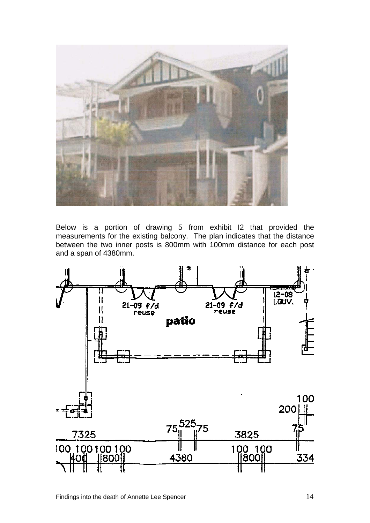

Below is a portion of drawing 5 from exhibit I2 that provided the measurements for the existing balcony. The plan indicates that the distance between the two inner posts is 800mm with 100mm distance for each post and a span of 4380mm.

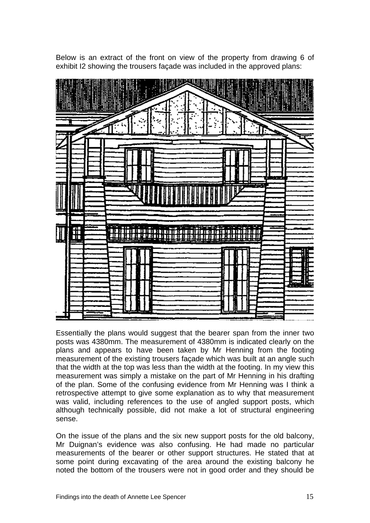

Below is an extract of the front on view of the property from drawing 6 of exhibit I2 showing the trousers façade was included in the approved plans:

Essentially the plans would suggest that the bearer span from the inner two posts was 4380mm. The measurement of 4380mm is indicated clearly on the plans and appears to have been taken by Mr Henning from the footing measurement of the existing trousers façade which was built at an angle such that the width at the top was less than the width at the footing. In my view this measurement was simply a mistake on the part of Mr Henning in his drafting of the plan. Some of the confusing evidence from Mr Henning was I think a retrospective attempt to give some explanation as to why that measurement was valid, including references to the use of angled support posts, which although technically possible, did not make a lot of structural engineering sense.

On the issue of the plans and the six new support posts for the old balcony, Mr Duignan's evidence was also confusing. He had made no particular measurements of the bearer or other support structures. He stated that at some point during excavating of the area around the existing balcony he noted the bottom of the trousers were not in good order and they should be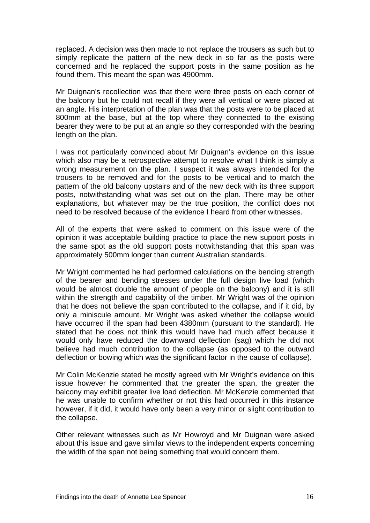replaced. A decision was then made to not replace the trousers as such but to simply replicate the pattern of the new deck in so far as the posts were concerned and he replaced the support posts in the same position as he found them. This meant the span was 4900mm.

Mr Duignan's recollection was that there were three posts on each corner of the balcony but he could not recall if they were all vertical or were placed at an angle. His interpretation of the plan was that the posts were to be placed at 800mm at the base, but at the top where they connected to the existing bearer they were to be put at an angle so they corresponded with the bearing length on the plan.

I was not particularly convinced about Mr Duignan's evidence on this issue which also may be a retrospective attempt to resolve what I think is simply a wrong measurement on the plan. I suspect it was always intended for the trousers to be removed and for the posts to be vertical and to match the pattern of the old balcony upstairs and of the new deck with its three support posts, notwithstanding what was set out on the plan. There may be other explanations, but whatever may be the true position, the conflict does not need to be resolved because of the evidence I heard from other witnesses.

All of the experts that were asked to comment on this issue were of the opinion it was acceptable building practice to place the new support posts in the same spot as the old support posts notwithstanding that this span was approximately 500mm longer than current Australian standards.

Mr Wright commented he had performed calculations on the bending strength of the bearer and bending stresses under the full design live load (which would be almost double the amount of people on the balcony) and it is still within the strength and capability of the timber. Mr Wright was of the opinion that he does not believe the span contributed to the collapse, and if it did, by only a miniscule amount. Mr Wright was asked whether the collapse would have occurred if the span had been 4380mm (pursuant to the standard). He stated that he does not think this would have had much affect because it would only have reduced the downward deflection (sag) which he did not believe had much contribution to the collapse (as opposed to the outward deflection or bowing which was the significant factor in the cause of collapse).

Mr Colin McKenzie stated he mostly agreed with Mr Wright's evidence on this issue however he commented that the greater the span, the greater the balcony may exhibit greater live load deflection. Mr McKenzie commented that he was unable to confirm whether or not this had occurred in this instance however, if it did, it would have only been a very minor or slight contribution to the collapse.

Other relevant witnesses such as Mr Howroyd and Mr Duignan were asked about this issue and gave similar views to the independent experts concerning the width of the span not being something that would concern them.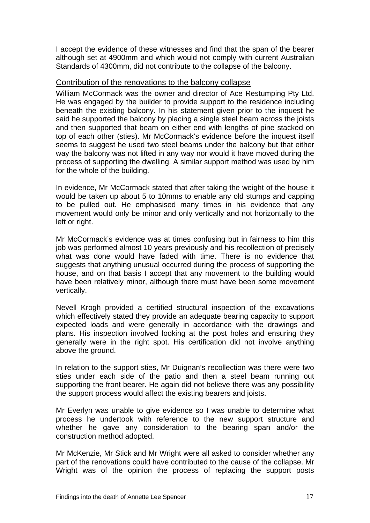I accept the evidence of these witnesses and find that the span of the bearer although set at 4900mm and which would not comply with current Australian Standards of 4300mm, did not contribute to the collapse of the balcony.

#### Contribution of the renovations to the balcony collapse

William McCormack was the owner and director of Ace Restumping Pty Ltd. He was engaged by the builder to provide support to the residence including beneath the existing balcony. In his statement given prior to the inquest he said he supported the balcony by placing a single steel beam across the joists and then supported that beam on either end with lengths of pine stacked on top of each other (sties). Mr McCormack's evidence before the inquest itself seems to suggest he used two steel beams under the balcony but that either way the balcony was not lifted in any way nor would it have moved during the process of supporting the dwelling. A similar support method was used by him for the whole of the building.

In evidence, Mr McCormack stated that after taking the weight of the house it would be taken up about 5 to 10mms to enable any old stumps and capping to be pulled out. He emphasised many times in his evidence that any movement would only be minor and only vertically and not horizontally to the left or right.

Mr McCormack's evidence was at times confusing but in fairness to him this job was performed almost 10 years previously and his recollection of precisely what was done would have faded with time. There is no evidence that suggests that anything unusual occurred during the process of supporting the house, and on that basis I accept that any movement to the building would have been relatively minor, although there must have been some movement vertically.

Nevell Krogh provided a certified structural inspection of the excavations which effectively stated they provide an adequate bearing capacity to support expected loads and were generally in accordance with the drawings and plans. His inspection involved looking at the post holes and ensuring they generally were in the right spot. His certification did not involve anything above the ground.

In relation to the support sties, Mr Duignan's recollection was there were two sties under each side of the patio and then a steel beam running out supporting the front bearer. He again did not believe there was any possibility the support process would affect the existing bearers and joists.

Mr Everlyn was unable to give evidence so I was unable to determine what process he undertook with reference to the new support structure and whether he gave any consideration to the bearing span and/or the construction method adopted.

Mr McKenzie, Mr Stick and Mr Wright were all asked to consider whether any part of the renovations could have contributed to the cause of the collapse. Mr Wright was of the opinion the process of replacing the support posts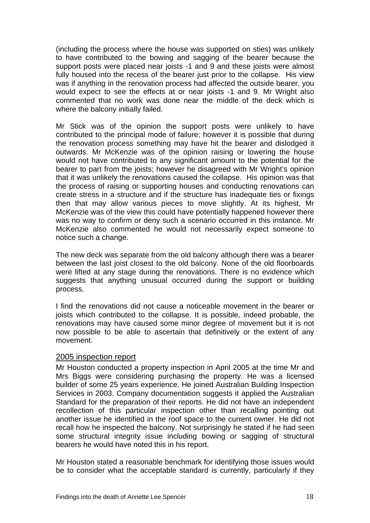(including the process where the house was supported on sties) was unlikely to have contributed to the bowing and sagging of the bearer because the support posts were placed near joists -1 and 9 and these joists were almost fully housed into the recess of the bearer just prior to the collapse. His view was if anything in the renovation process had affected the outside bearer, you would expect to see the effects at or near joists -1 and 9. Mr Wright also commented that no work was done near the middle of the deck which is where the balcony initially failed.

Mr Stick was of the opinion the support posts were unlikely to have contributed to the principal mode of failure; however it is possible that during the renovation process something may have hit the bearer and dislodged it outwards. Mr McKenzie was of the opinion raising or lowering the house would not have contributed to any significant amount to the potential for the bearer to part from the joists; however he disagreed with Mr Wright's opinion that it was unlikely the renovations caused the collapse. His opinion was that the process of raising or supporting houses and conducting renovations can create stress in a structure and if the structure has inadequate ties or fixings then that may allow various pieces to move slightly. At its highest, Mr McKenzie was of the view this could have potentially happened however there was no way to confirm or deny such a scenario occurred in this instance. Mr McKenzie also commented he would not necessarily expect someone to notice such a change.

The new deck was separate from the old balcony although there was a bearer between the last joist closest to the old balcony. None of the old floorboards were lifted at any stage during the renovations. There is no evidence which suggests that anything unusual occurred during the support or building process.

I find the renovations did not cause a noticeable movement in the bearer or joists which contributed to the collapse. It is possible, indeed probable, the renovations may have caused some minor degree of movement but it is not now possible to be able to ascertain that definitively or the extent of any movement.

#### 2005 inspection report

Mr Houston conducted a property inspection in April 2005 at the time Mr and Mrs Biggs were considering purchasing the property. He was a licensed builder of some 25 years experience. He joined Australian Building Inspection Services in 2003. Company documentation suggests it applied the Australian Standard for the preparation of their reports. He did not have an independent recollection of this particular inspection other than recalling pointing out another issue he identified in the roof space to the current owner. He did not recall how he inspected the balcony. Not surprisingly he stated if he had seen some structural integrity issue including bowing or sagging of structural bearers he would have noted this in his report.

Mr Houston stated a reasonable benchmark for identifying those issues would be to consider what the acceptable standard is currently, particularly if they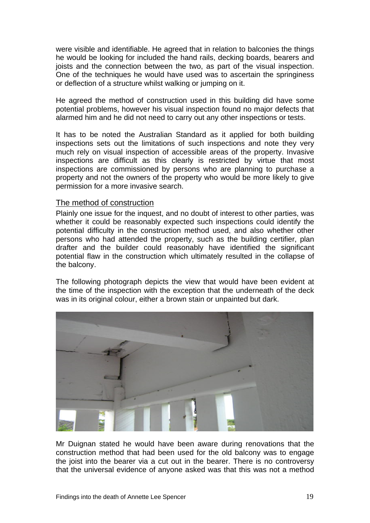were visible and identifiable. He agreed that in relation to balconies the things he would be looking for included the hand rails, decking boards, bearers and joists and the connection between the two, as part of the visual inspection. One of the techniques he would have used was to ascertain the springiness or deflection of a structure whilst walking or jumping on it.

He agreed the method of construction used in this building did have some potential problems, however his visual inspection found no major defects that alarmed him and he did not need to carry out any other inspections or tests.

It has to be noted the Australian Standard as it applied for both building inspections sets out the limitations of such inspections and note they very much rely on visual inspection of accessible areas of the property. Invasive inspections are difficult as this clearly is restricted by virtue that most inspections are commissioned by persons who are planning to purchase a property and not the owners of the property who would be more likely to give permission for a more invasive search.

#### The method of construction

Plainly one issue for the inquest, and no doubt of interest to other parties, was whether it could be reasonably expected such inspections could identify the potential difficulty in the construction method used, and also whether other persons who had attended the property, such as the building certifier, plan drafter and the builder could reasonably have identified the significant potential flaw in the construction which ultimately resulted in the collapse of the balcony.

The following photograph depicts the view that would have been evident at the time of the inspection with the exception that the underneath of the deck was in its original colour, either a brown stain or unpainted but dark.



Mr Duignan stated he would have been aware during renovations that the construction method that had been used for the old balcony was to engage the joist into the bearer via a cut out in the bearer. There is no controversy that the universal evidence of anyone asked was that this was not a method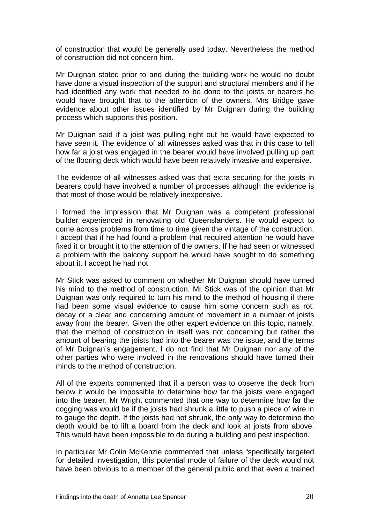of construction that would be generally used today. Nevertheless the method of construction did not concern him.

Mr Duignan stated prior to and during the building work he would no doubt have done a visual inspection of the support and structural members and if he had identified any work that needed to be done to the joists or bearers he would have brought that to the attention of the owners. Mrs Bridge gave evidence about other issues identified by Mr Duignan during the building process which supports this position.

Mr Duignan said if a joist was pulling right out he would have expected to have seen it. The evidence of all witnesses asked was that in this case to tell how far a joist was engaged in the bearer would have involved pulling up part of the flooring deck which would have been relatively invasive and expensive.

The evidence of all witnesses asked was that extra securing for the joists in bearers could have involved a number of processes although the evidence is that most of those would be relatively inexpensive.

I formed the impression that Mr Duignan was a competent professional builder experienced in renovating old Queenslanders. He would expect to come across problems from time to time given the vintage of the construction. I accept that if he had found a problem that required attention he would have fixed it or brought it to the attention of the owners. If he had seen or witnessed a problem with the balcony support he would have sought to do something about it. I accept he had not.

Mr Stick was asked to comment on whether Mr Duignan should have turned his mind to the method of construction. Mr Stick was of the opinion that Mr Duignan was only required to turn his mind to the method of housing if there had been some visual evidence to cause him some concern such as rot, decay or a clear and concerning amount of movement in a number of joists away from the bearer. Given the other expert evidence on this topic, namely, that the method of construction in itself was not concerning but rather the amount of bearing the joists had into the bearer was the issue, and the terms of Mr Duignan's engagement, I do not find that Mr Duignan nor any of the other parties who were involved in the renovations should have turned their minds to the method of construction.

All of the experts commented that if a person was to observe the deck from below it would be impossible to determine how far the joists were engaged into the bearer. Mr Wright commented that one way to determine how far the cogging was would be if the joists had shrunk a little to push a piece of wire in to gauge the depth. If the joists had not shrunk, the only way to determine the depth would be to lift a board from the deck and look at joists from above. This would have been impossible to do during a building and pest inspection.

In particular Mr Colin McKenzie commented that unless "specifically targeted for detailed investigation, this potential mode of failure of the deck would not have been obvious to a member of the general public and that even a trained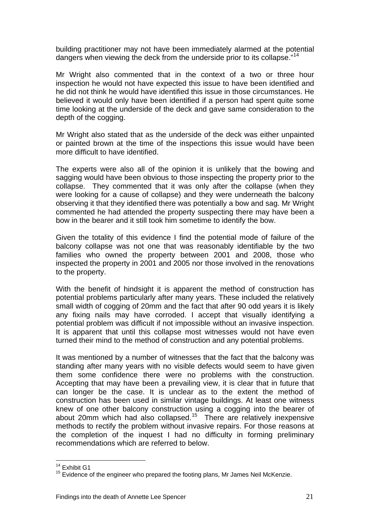building practitioner may not have been immediately alarmed at the potential dangers when viewing the deck from the underside prior to its collapse."<sup>[14](#page-22-0)</sup>

Mr Wright also commented that in the context of a two or three hour inspection he would not have expected this issue to have been identified and he did not think he would have identified this issue in those circumstances. He believed it would only have been identified if a person had spent quite some time looking at the underside of the deck and gave same consideration to the depth of the cogging.

Mr Wright also stated that as the underside of the deck was either unpainted or painted brown at the time of the inspections this issue would have been more difficult to have identified.

The experts were also all of the opinion it is unlikely that the bowing and sagging would have been obvious to those inspecting the property prior to the collapse. They commented that it was only after the collapse (when they were looking for a cause of collapse) and they were underneath the balcony observing it that they identified there was potentially a bow and sag. Mr Wright commented he had attended the property suspecting there may have been a bow in the bearer and it still took him sometime to identify the bow.

Given the totality of this evidence I find the potential mode of failure of the balcony collapse was not one that was reasonably identifiable by the two families who owned the property between 2001 and 2008, those who inspected the property in 2001 and 2005 nor those involved in the renovations to the property.

With the benefit of hindsight it is apparent the method of construction has potential problems particularly after many years. These included the relatively small width of cogging of 20mm and the fact that after 90 odd years it is likely any fixing nails may have corroded. I accept that visually identifying a potential problem was difficult if not impossible without an invasive inspection. It is apparent that until this collapse most witnesses would not have even turned their mind to the method of construction and any potential problems.

It was mentioned by a number of witnesses that the fact that the balcony was standing after many years with no visible defects would seem to have given them some confidence there were no problems with the construction. Accepting that may have been a prevailing view, it is clear that in future that can longer be the case. It is unclear as to the extent the method of construction has been used in similar vintage buildings. At least one witness knew of one other balcony construction using a cogging into the bearer of about 20mm which had also collapsed.<sup>[15](#page-22-1)</sup> There are relatively inexpensive methods to rectify the problem without invasive repairs. For those reasons at the completion of the inquest I had no difficulty in forming preliminary recommendations which are referred to below.

 $\overline{a}$ 

<sup>&</sup>lt;sup>14</sup> Exhibit G1

<span id="page-22-1"></span><span id="page-22-0"></span><sup>&</sup>lt;sup>15</sup> Evidence of the engineer who prepared the footing plans, Mr James Neil McKenzie.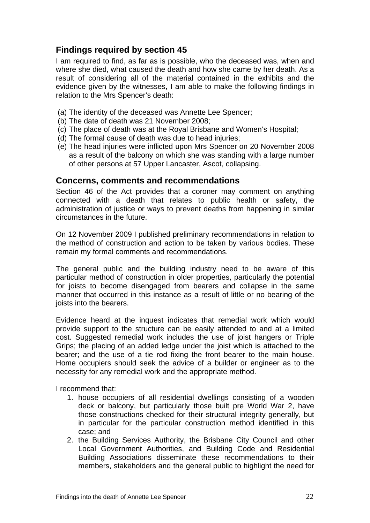## **Findings required by section 45**

I am required to find, as far as is possible, who the deceased was, when and where she died, what caused the death and how she came by her death. As a result of considering all of the material contained in the exhibits and the evidence given by the witnesses, I am able to make the following findings in relation to the Mrs Spencer's death:

- (a) The identity of the deceased was Annette Lee Spencer;
- (b) The date of death was 21 November 2008;
- (c) The place of death was at the Royal Brisbane and Women's Hospital;
- (d) The formal cause of death was due to head injuries;
- (e) The head injuries were inflicted upon Mrs Spencer on 20 November 2008 as a result of the balcony on which she was standing with a large number of other persons at 57 Upper Lancaster, Ascot, collapsing.

#### **Concerns, comments and recommendations**

Section 46 of the Act provides that a coroner may comment on anything connected with a death that relates to public health or safety, the administration of justice or ways to prevent deaths from happening in similar circumstances in the future.

On 12 November 2009 I published preliminary recommendations in relation to the method of construction and action to be taken by various bodies. These remain my formal comments and recommendations.

The general public and the building industry need to be aware of this particular method of construction in older properties, particularly the potential for joists to become disengaged from bearers and collapse in the same manner that occurred in this instance as a result of little or no bearing of the joists into the bearers.

Evidence heard at the inquest indicates that remedial work which would provide support to the structure can be easily attended to and at a limited cost. Suggested remedial work includes the use of joist hangers or Triple Grips; the placing of an added ledge under the joist which is attached to the bearer; and the use of a tie rod fixing the front bearer to the main house. Home occupiers should seek the advice of a builder or engineer as to the necessity for any remedial work and the appropriate method.

I recommend that:

- 1. house occupiers of all residential dwellings consisting of a wooden deck or balcony, but particularly those built pre World War 2, have those constructions checked for their structural integrity generally, but in particular for the particular construction method identified in this case; and
- 2. the Building Services Authority, the Brisbane City Council and other Local Government Authorities, and Building Code and Residential Building Associations disseminate these recommendations to their members, stakeholders and the general public to highlight the need for